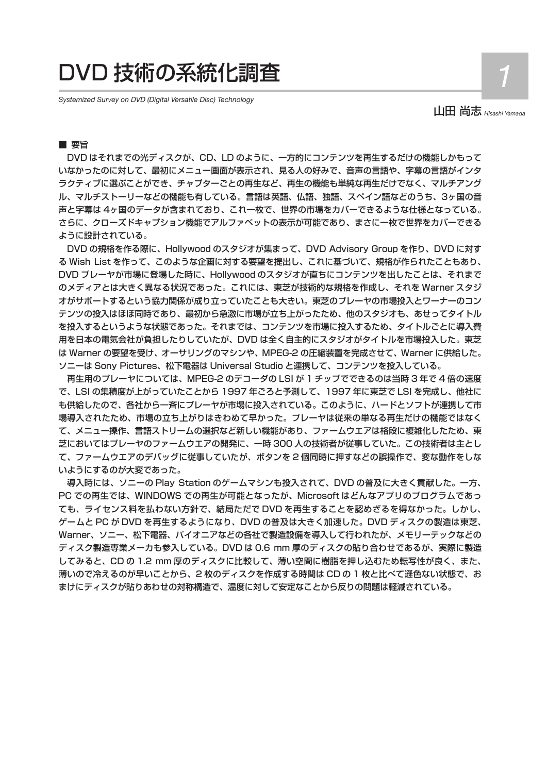# DVD 技術の系統化調査 *1*

*Systemized Survey on DVD (Digital Versatile Disc) Technology*

山田 尚志 *Hisashi Yamada* 

# ■要旨

DVD はそれまでの光ディスクが、CD、LD のように、一方的にコンテンツを再生するだけの機能しかもって いなかったのに対して、最初にメニュー画面が表示され、見る人の好みで、音声の言語や、字幕の言語がインタ ラクティブに選ぶことができ、チャプターごとの再生など、再生の機能も単純な再生だけでなく、マルチアング ル、マルチストーリーなどの機能も有している。言語は英語、仏語、独語、スペイン語などのうち、3ヶ国の音 声と字幕は 4ヶ国のデータが含まれており、これ一枚で、世界の市場をカバーできるような仕様となっている。 さらに、クローズドキャプション機能でアルファベットの表示が可能であり、まさに一枚で世界をカバーできる ように設計されている。

DVD の規格を作る際に、Hollywood のスタジオが集まって、DVD Advisory Group を作り、DVD に対す る Wish List を作って、このような企画に対する要望を提出し、これに基づいて、規格が作られたこともあり、 DVD プレーヤが市場に登場した時に、Hollywood のスタジオが直ちにコンテンツを出したことは、それまで のメディアとは大きく異なる状況であった。これには、東芝が技術的な規格を作成し、それを Warner スタジ オがサポートするという協力関係が成り立っていたことも大きい。東芝のプレーヤの市場投入とワーナーのコン テンツの投入はほぼ同時であり、最初から急激に市場が立ち上がったため、他のスタジオも、あせってタイトル を投入するというような状態であった。それまでは、コンテンツを市場に投入するため、タイトルごとに導入費 用を日本の電気会社が負担したりしていたが、DVD は全く自主的にスタジオがタイトルを市場投入した。東芝 は Warner の要望を受け、オーサリングのマシンや、MPEG-2 の圧縮装置を完成させて、Warner に供給した。 ソニーは Sony Pictures、松下電器は Universal Studio と連携して、コンテンツを投入している。

再生用のプレーヤについては、MPEG-2 のデコーダの LSI が 1 チップでできるのは当時 3 年で 4 倍の速度 で、LSI の集積度が上がっていたことから 1997 年ごろと予測して、1997 年に東芝で LSI を完成し、他社に も供給したので、各社から一斉にプレーヤが市場に投入されている。このように、ハードとソフトが連携して市 場導入されたため、市場の立ち上がりはきわめて早かった。プレーヤは従来の単なる再生だけの機能ではなく て、メニュー操作、言語ストリームの選択など新しい機能があり、ファームウエアは格段に複雑化したため、東 芝においてはプレーヤのファームウエアの開発に、一時 300 人の技術者が従事していた。この技術者は主とし て、ファームウエアのデバッグに従事していたが、ボタンを 2 個同時に押すなどの誤操作で、変な動作をしな いようにするのが大変であった。

導入時には、ソニーの Play Station のゲームマシンも投入されて、DVD の普及に大きく貢献した。一方、 PC での再生では、WINDOWS での再生が可能となったが、Microsoft はどんなアプリのプログラムであっ ても、ライセンス料を払わない方針で、結局ただで DVD を再生することを認めざるを得なかった。しかし、 ゲームと PC が DVD を再生するようになり、DVD の普及は大きく加速した。DVD ディスクの製造は東芝、 Warner、ソニー、松下電器、パイオニアなどの各社で製造設備を導入して行われたが、メモリーテックなどの ディスク製造専業メーカも参入している。DVD は 0.6 mm 厚のディスクの貼り合わせであるが、実際に製造 してみると、CD の 1.2 mm 厚のディスクに比較して、薄い空間に樹脂を押し込むため転写性が良く、また、 薄いので冷えるのが早いことから、2 枚のディスクを作成する時間は CD の 1 枚と比べて遜色ない状態で、お まけにディスクが貼りあわせの対称構造で、温度に対して安定なことから反りの問題は軽減されている。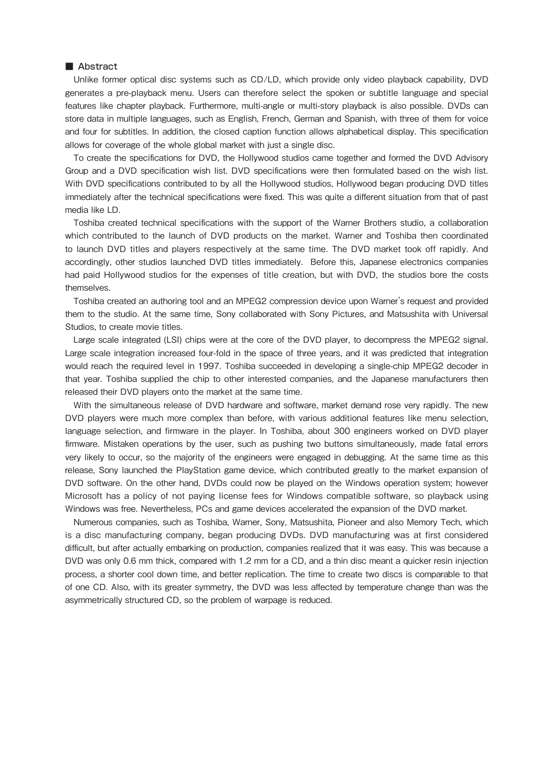#### ■ Abstract

Unlike former optical disc systems such as CD/LD, which provide only video playback capability, DVD generates a pre-playback menu. Users can therefore select the spoken or subtitle language and special features like chapter playback. Furthermore, multi-angle or multi-story playback is also possible. DVDs can store data in multiple languages, such as English, French, German and Spanish, with three of them for voice and four for subtitles. In addition, the closed caption function allows alphabetical display. This specification allows for coverage of the whole global market with just a single disc.

To create the specifications for DVD, the Hollywood studios came together and formed the DVD Advisory Group and a DVD specification wish list. DVD specifications were then formulated based on the wish list. With DVD specifications contributed to by all the Hollywood studios, Hollywood began producing DVD titles immediately after the technical specifications were fixed. This was quite a different situation from that of past media like LD.

Toshiba created technical specifications with the support of the Warner Brothers studio, a collaboration which contributed to the launch of DVD products on the market. Warner and Toshiba then coordinated to launch DVD titles and players respectively at the same time. The DVD market took off rapidly. And accordingly, other studios launched DVD titles immediately. Before this, Japanese electronics companies had paid Hollywood studios for the expenses of title creation, but with DVD, the studios bore the costs themselves.

Toshiba created an authoring tool and an MPEG2 compression device upon Warner's request and provided them to the studio. At the same time, Sony collaborated with Sony Pictures, and Matsushita with Universal Studios, to create movie titles.

Large scale integrated (LSI) chips were at the core of the DVD player, to decompress the MPEG2 signal. Large scale integration increased four-fold in the space of three years, and it was predicted that integration would reach the required level in 1997. Toshiba succeeded in developing a single-chip MPEG2 decoder in that year. Toshiba supplied the chip to other interested companies, and the Japanese manufacturers then released their DVD players onto the market at the same time.

With the simultaneous release of DVD hardware and software, market demand rose very rapidly. The new DVD players were much more complex than before, with various additional features like menu selection, language selection, and firmware in the player. In Toshiba, about 300 engineers worked on DVD player firmware. Mistaken operations by the user, such as pushing two buttons simultaneously, made fatal errors very likely to occur, so the majority of the engineers were engaged in debugging. At the same time as this release, Sony launched the PlayStation game device, which contributed greatly to the market expansion of DVD software. On the other hand, DVDs could now be played on the Windows operation system; however Microsoft has a policy of not paying license fees for Windows compatible software, so playback using Windows was free. Nevertheless, PCs and game devices accelerated the expansion of the DVD market.

Numerous companies, such as Toshiba, Warner, Sony, Matsushita, Pioneer and also Memory Tech, which is a disc manufacturing company, began producing DVDs. DVD manufacturing was at first considered difficult, but after actually embarking on production, companies realized that it was easy. This was because a DVD was only 0.6 mm thick, compared with 1.2 mm for a CD, and a thin disc meant a quicker resin injection process, a shorter cool down time, and better replication. The time to create two discs is comparable to that of one CD. Also, with its greater symmetry, the DVD was less affected by temperature change than was the asymmetrically structured CD, so the problem of warpage is reduced.